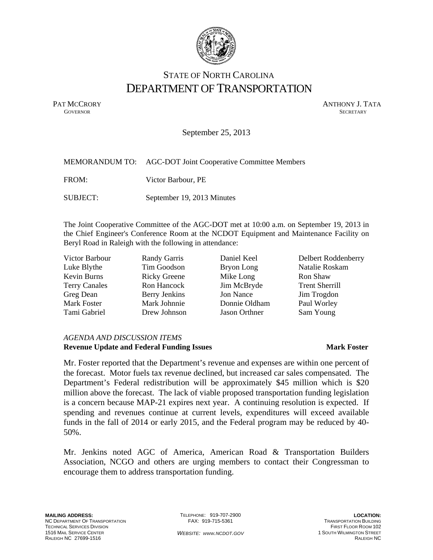

### STATE OF NORTH CAROLINA DEPARTMENT OF TRANSPORTATION

PAT MCCRORY ANTHONY J. TATA **GOVERNOR** SECRETARY

September 25, 2013

|          | MEMORANDUM TO: AGC-DOT Joint Cooperative Committee Members |
|----------|------------------------------------------------------------|
| FROM:    | Victor Barbour, PE                                         |
| SUBJECT: | September 19, 2013 Minutes                                 |

The Joint Cooperative Committee of the AGC-DOT met at 10:00 a.m. on September 19, 2013 in the Chief Engineer's Conference Room at the NCDOT Equipment and Maintenance Facility on Beryl Road in Raleigh with the following in attendance:

Luke Blythe Tim Goodson Bryon Long Natalie Roskam Kevin Burns Ricky Greene Mike Long Ron Shaw Terry Canales Ron Hancock Jim McBryde Trent Sherrill Greg Dean Berry Jenkins Jon Nance Jim Trogdon Mark Foster Mark Johnnie Donnie Oldham Paul Worley Tami Gabriel Drew Johnson Jason Orthner Sam Young

Victor Barbour **Randy Garris** Daniel Keel Delbert Roddenberry

#### *AGENDA AND DISCUSSION ITEMS*  **Revenue Update and Federal Funding Issues Mark Foster Mark Foster**

Mr. Foster reported that the Department's revenue and expenses are within one percent of the forecast. Motor fuels tax revenue declined, but increased car sales compensated. The Department's Federal redistribution will be approximately \$45 million which is \$20 million above the forecast. The lack of viable proposed transportation funding legislation is a concern because MAP-21 expires next year. A continuing resolution is expected. If spending and revenues continue at current levels, expenditures will exceed available funds in the fall of 2014 or early 2015, and the Federal program may be reduced by 40- 50%.

Mr. Jenkins noted AGC of America, American Road & Transportation Builders Association, NCGO and others are urging members to contact their Congressman to encourage them to address transportation funding.

TELEPHONE: 919-707-2900 FAX: 919-715-5361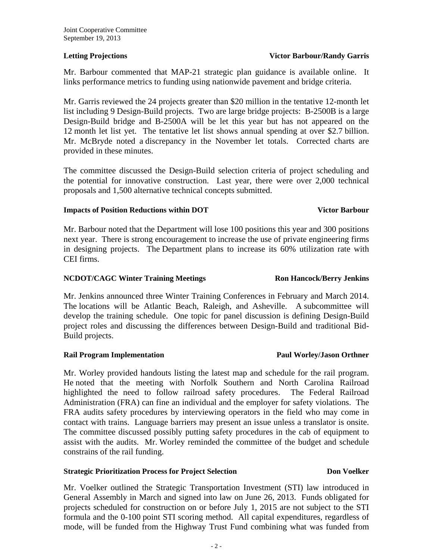### **Letting Projections State Constraints Action Projections State Projections State Projections**

Mr. Barbour commented that MAP-21 strategic plan guidance is available online. It links performance metrics to funding using nationwide pavement and bridge criteria.

Mr. Garris reviewed the 24 projects greater than \$20 million in the tentative 12-month let list including 9 Design-Build projects. Two are large bridge projects: B-2500B is a large Design-Build bridge and B-2500A will be let this year but has not appeared on the 12 month let list yet. The tentative let list shows annual spending at over \$2.7 billion. Mr. McBryde noted a discrepancy in the November let totals. Corrected charts are provided in these minutes.

The committee discussed the Design-Build selection criteria of project scheduling and the potential for innovative construction. Last year, there were over 2,000 technical proposals and 1,500 alternative technical concepts submitted.

### **Impacts of Position Reductions within DOT Victor Barbour**

Mr. Barbour noted that the Department will lose 100 positions this year and 300 positions next year. There is strong encouragement to increase the use of private engineering firms in designing projects. The Department plans to increase its 60% utilization rate with CEI firms.

### **NCDOT/CAGC Winter Training Meetings Ron Hancock/Berry Jenkins**

Mr. Jenkins announced three Winter Training Conferences in February and March 2014. The locations will be Atlantic Beach, Raleigh, and Asheville. A subcommittee will develop the training schedule. One topic for panel discussion is defining Design-Build project roles and discussing the differences between Design-Build and traditional Bid-Build projects.

### **Rail Program Implementation Service School Service School Paul Worley/Jason Orthner**

Mr. Worley provided handouts listing the latest map and schedule for the rail program. He noted that the meeting with Norfolk Southern and North Carolina Railroad highlighted the need to follow railroad safety procedures. The Federal Railroad Administration (FRA) can fine an individual and the employer for safety violations. The FRA audits safety procedures by interviewing operators in the field who may come in contact with trains. Language barriers may present an issue unless a translator is onsite. The committee discussed possibly putting safety procedures in the cab of equipment to assist with the audits. Mr. Worley reminded the committee of the budget and schedule constrains of the rail funding.

### **Strategic Prioritization Process for Project Selection Don Don Voelker**

Mr. Voelker outlined the Strategic Transportation Investment (STI) law introduced in General Assembly in March and signed into law on June 26, 2013. Funds obligated for projects scheduled for construction on or before July 1, 2015 are not subject to the STI formula and the 0-100 point STI scoring method. All capital expenditures, regardless of mode, will be funded from the Highway Trust Fund combining what was funded from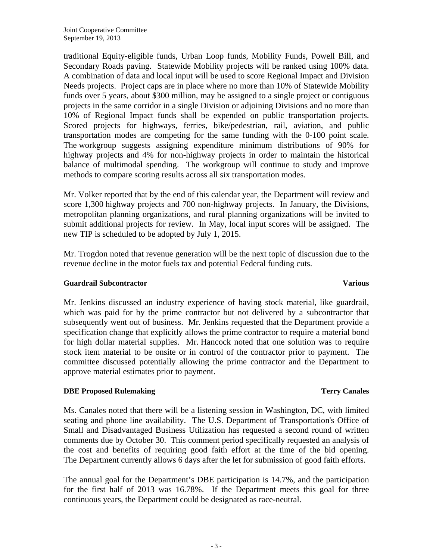traditional Equity-eligible funds, Urban Loop funds, Mobility Funds, Powell Bill, and Secondary Roads paving. Statewide Mobility projects will be ranked using 100% data. A combination of data and local input will be used to score Regional Impact and Division Needs projects. Project caps are in place where no more than 10% of Statewide Mobility funds over 5 years, about \$300 million, may be assigned to a single project or contiguous projects in the same corridor in a single Division or adjoining Divisions and no more than 10% of Regional Impact funds shall be expended on public transportation projects. Scored projects for highways, ferries, bike/pedestrian, rail, aviation, and public transportation modes are competing for the same funding with the 0-100 point scale. The workgroup suggests assigning expenditure minimum distributions of 90% for highway projects and 4% for non-highway projects in order to maintain the historical balance of multimodal spending. The workgroup will continue to study and improve methods to compare scoring results across all six transportation modes.

Mr. Volker reported that by the end of this calendar year, the Department will review and score 1,300 highway projects and 700 non-highway projects. In January, the Divisions, metropolitan planning organizations, and rural planning organizations will be invited to submit additional projects for review. In May, local input scores will be assigned. The new TIP is scheduled to be adopted by July 1, 2015.

Mr. Trogdon noted that revenue generation will be the next topic of discussion due to the revenue decline in the motor fuels tax and potential Federal funding cuts.

### **Guardrail Subcontractor Various**

Mr. Jenkins discussed an industry experience of having stock material, like guardrail, which was paid for by the prime contractor but not delivered by a subcontractor that subsequently went out of business. Mr. Jenkins requested that the Department provide a specification change that explicitly allows the prime contractor to require a material bond for high dollar material supplies. Mr. Hancock noted that one solution was to require stock item material to be onsite or in control of the contractor prior to payment. The committee discussed potentially allowing the prime contractor and the Department to approve material estimates prior to payment.

### **DBE Proposed Rulemaking Terry Canales**

Ms. Canales noted that there will be a listening session in Washington, DC, with limited seating and phone line availability. The U.S. Department of Transportation's Office of Small and Disadvantaged Business Utilization has requested a second round of written comments due by October 30. This comment period specifically requested an analysis of the cost and benefits of requiring good faith effort at the time of the bid opening. The Department currently allows 6 days after the let for submission of good faith efforts.

The annual goal for the Department's DBE participation is 14.7%, and the participation for the first half of 2013 was 16.78%. If the Department meets this goal for three continuous years, the Department could be designated as race-neutral.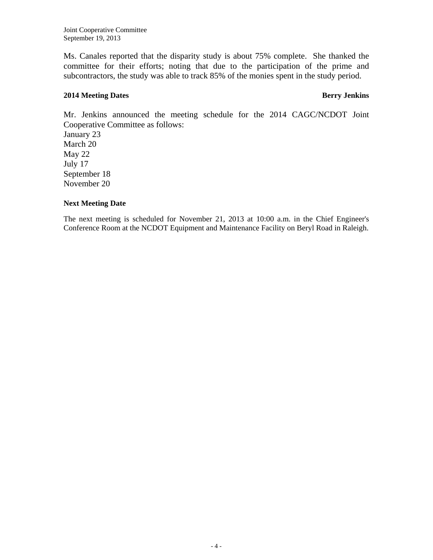Joint Cooperative Committee September 19, 2013

Ms. Canales reported that the disparity study is about 75% complete. She thanked the committee for their efforts; noting that due to the participation of the prime and subcontractors, the study was able to track 85% of the monies spent in the study period.

#### **2014 Meeting Dates Berry Jenkins**

Mr. Jenkins announced the meeting schedule for the 2014 CAGC/NCDOT Joint Cooperative Committee as follows: January 23

March 20 May 22 July 17 September 18 November 20

#### **Next Meeting Date**

The next meeting is scheduled for November 21, 2013 at 10:00 a.m. in the Chief Engineer's Conference Room at the NCDOT Equipment and Maintenance Facility on Beryl Road in Raleigh.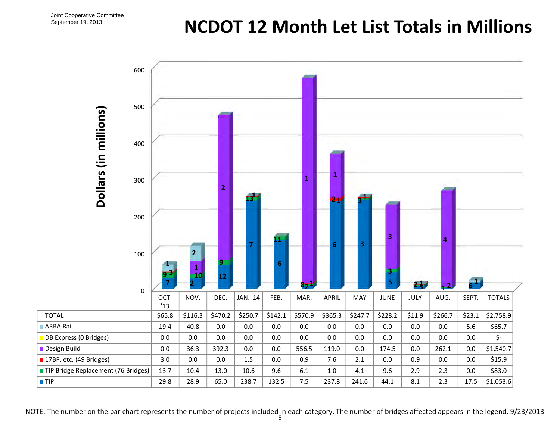# **NCDOT 12 Month Let List Totals in Millions**

| 600                                 |             |                             |                |          |                |                 |         |         |                              |            |                          |                         |               |
|-------------------------------------|-------------|-----------------------------|----------------|----------|----------------|-----------------|---------|---------|------------------------------|------------|--------------------------|-------------------------|---------------|
| 500                                 |             |                             |                |          |                |                 |         |         |                              |            |                          |                         |               |
| Dollars (in millions)<br>400        |             |                             |                |          |                |                 |         |         |                              |            |                          |                         |               |
| 300                                 |             |                             | $\overline{2}$ |          |                | $\mathbf{1}$    | 1       |         |                              |            |                          |                         |               |
| 200                                 |             |                             |                |          |                |                 |         |         |                              |            |                          |                         |               |
| 100                                 |             | $\overline{2}$<br>${\bf 1}$ | $\overline{9}$ |          | $6\phantom{1}$ |                 | 6       | 3       | $\overline{\mathbf{3}}$<br>3 |            | $\overline{a}$           |                         |               |
| $\pmb{0}$                           | OCT.<br>'13 | 10<br>NOV.                  | 12<br>DEC.     | JAN. '14 | FEB.           | $8 - 1$<br>MAR. | APRIL   | MAY     | 5<br>JUNE                    | 25<br>JULY | $\mathbf{1}^{2}$<br>AUG. | $\overline{6}$<br>SEPT. | <b>TOTALS</b> |
| <b>TOTAL</b>                        | \$65.8      | \$116.3                     | \$470.2        | \$250.7  | \$142.1        | \$570.9         | \$365.3 | \$247.7 | \$228.2                      | \$11.9     | \$266.7                  | \$23.1                  | \$2,758.9     |
| ARRA Rail                           | 19.4        | 40.8                        | $0.0\,$        | 0.0      | 0.0            | 0.0             | $0.0\,$ | 0.0     | $0.0\,$                      | 0.0        | 0.0                      | 5.6                     | \$65.7        |
| DB Express (0 Bridges)              | $0.0\,$     | $0.0\,$                     | $0.0\,$        | $0.0\,$  | $0.0\,$        | $0.0\,$         | 0.0     | $0.0\,$ | $0.0\,$                      | $0.0\,$    | $0.0\,$                  | $0.0\,$                 | \$-           |
| Design Build                        | $0.0\,$     | 36.3                        | 392.3          | 0.0      | 0.0            | 556.5           | 119.0   | 0.0     | 174.5                        | $0.0\,$    | 262.1                    | 0.0                     | \$1,540.7     |
| 17BP, etc. (49 Bridges)             | 3.0         | $0.0\,$                     | $0.0\,$        | 1.5      | $0.0\,$        | 0.9             | 7.6     | 2.1     | $0.0\,$                      | 0.9        | 0.0                      | $0.0\,$                 | \$15.9        |
| TIP Bridge Replacement (76 Bridges) | 13.7        | 10.4                        | 13.0           | 10.6     | 9.6            | $6.1\,$         | $1.0\,$ | 4.1     | 9.6                          | 2.9        | 2.3                      | $0.0\,$                 | \$83.0        |
| $\P$ TIP                            | 29.8        | 28.9                        | 65.0           | 238.7    | 132.5          | 7.5             | 237.8   | 241.6   | 44.1                         | 8.1        | 2.3                      | 17.5                    | \$1,053.6     |

NOTE: The number on the bar chart represents the number of projects included in each category. The number of bridges affected appears in the legend. 9/23/2013<br>-5-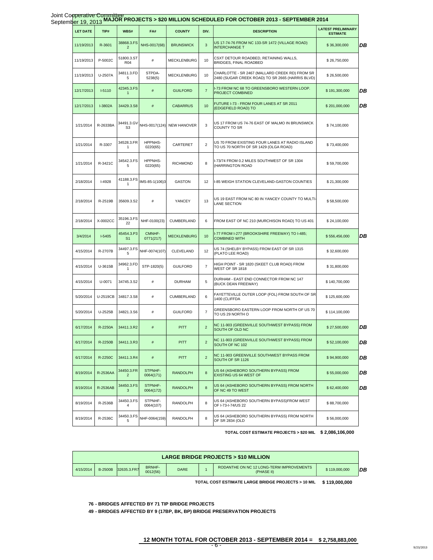|                 |          |                              |                      |                    |                         | Joint Cooperative Committee<br>September 19, 2013 MAJOR PROJECTS > \$20 MILLION SCHEDULED FOR OCTOBER 2013 - SEPTEMBER 2014 |                                              |
|-----------------|----------|------------------------------|----------------------|--------------------|-------------------------|-----------------------------------------------------------------------------------------------------------------------------|----------------------------------------------|
| <b>LET DATE</b> | TIP#     | WBS#                         | FA#                  | <b>COUNTY</b>      | DIV.                    | <b>DESCRIPTION</b>                                                                                                          | <b>LATEST PRELIMINARY</b><br><b>ESTIMATE</b> |
| 11/19/2013      | R-3601   | 38868.3.FS<br>$\overline{2}$ | NHS-0017(68)         | <b>BRUNSWICK</b>   | 3                       | US 17-74-76 FROM NC 133-SR 1472 (VILLAGE ROAD)<br><b>INTERCHANGE T</b>                                                      | \$36,300,000                                 |
| 11/19/2013      | P-5002C  | 51800.3.ST<br><b>R04</b>     | $\#$                 | <b>MECKLENBURG</b> | 10                      | CSXT DETOUR ROADBED, RETAINING WALLS,<br>BRIDGES, FINAL ROADBED                                                             | \$26,750,000                                 |
| 11/19/2013      | U-2507A  | 34811.3.FD<br>5              | STPDA-<br>5238(5)    | <b>MECKLENBURG</b> | 10                      | CHARLOTTE - SR 2467 (MALLARD CREEK RD) FROM SR<br>2480 (SUGAR CREEK ROAD) TO SR 2665 (HARRIS BLVD)                          | \$26,500,000                                 |
| 12/17/2013      | $I-5110$ | 42345.3.FS<br>1              | $\#$                 | <b>GUILFORD</b>    | $\overline{7}$          | I-73 FROM NC 68 TO GREENSBORO WESTERN LOOP.<br>PROJECT COMBINED                                                             | \$191,300,000                                |
| 12/17/2013      | I-3802A  | 34429.3.S8                   | $\#$                 | <b>CABARRUS</b>    | 10                      | FUTURE I-73 - FROM FOUR LANES AT SR 2011<br>(EDGEFIELD ROAD) TO                                                             | \$201,000,000                                |
| 1/21/2014       | R-2633BA | 34491.3.GV<br>S <sub>3</sub> | NHS-0017(124)        | <b>NEW HANOVER</b> | 3                       | US 17 FROM US 74-76 EAST OF MALMO IN BRUNSWICK<br>COUNTY TO SR                                                              | \$74,100,000                                 |
| 1/21/2014       | R-3307   | 34528.3.FR<br>-1             | HPPNHS-<br>0220(65)  | CARTERET           | $\overline{2}$          | US 70 FROM EXISTING FOUR LANES AT RADIO ISLAND<br>TO US 70 NORTH OF SR 1429 (OLGA ROAD)                                     | \$73,400,000                                 |
| 1/21/2014       | R-3421C  | 34542.3.FS<br>5              | HPPNHS-<br>0220(65)  | <b>RICHMOND</b>    | 8                       | I-73/74 FROM 0.2 MILES SOUTHWEST OF SR 1304<br>(HARRINGTON ROAD                                                             | \$59,700,000                                 |
| 2/18/2014       | $I-4928$ | 41188.3.FS<br>1              | IMS-85-1(106)3       | GASTON             | 12                      | I-85 WEIGH STATION CLEVELAND-GASTON COUNTIES                                                                                | \$21,300,000                                 |
| 2/18/2014       | R-2519B  | 35609.3.S2                   | $\#$                 | YANCEY             | 13                      | US 19 EAST FROM NC 80 IN YANCEY COUNTY TO MULTI-<br>LANE SECTION                                                            | \$58,500,000                                 |
| 2/18/2014       | X-0002CC | 35196.3.FS<br>22             | NHF-0100(23)         | CUMBERLAND         | 6                       | FROM EAST OF NC 210 (MURCHISON ROAD) TO US 401                                                                              | \$24,100,000                                 |
| 3/4/2014        | $I-5405$ | 45454.3.P3<br>S <sub>1</sub> | CMNHF-<br>0771(217)  | <b>MECKLENBURG</b> | 10                      | I-77 FROM I-277 (BROOKSHIRE FREEWAY) TO I-485;<br><b>COMBINED WITH</b>                                                      | \$556,456,000                                |
| 4/15/2014       | R-2707B  | 34497.3.FS<br>5              | NHF-0074(107)        | CLEVELAND          | 12                      | US 74 (SHELBY BYPASS) FROM EAST OF SR 1315<br>(PLATO LEE ROAD)                                                              | \$32,600,000                                 |
| 4/15/2014       | U-3615B  | 34962.3.FD<br>$\mathbf{1}$   | STP-1820(5)          | <b>GUILFORD</b>    | $\overline{7}$          | HIGH POINT - SR 1820 (SKEET CLUB ROAD) FROM<br>WEST OF SR 1818                                                              | \$31,800,000                                 |
| 4/15/2014       | U-0071   | 34745.3.S2                   | #                    | <b>DURHAM</b>      | 5                       | DURHAM - EAST END CONNECTOR FROM NC 147<br>(BUCK DEAN FREEWAY)                                                              | \$140,700,000                                |
| 5/20/2014       | U-2519CB | 34817.3.S8                   | $\#$                 | CUMBERLAND         | 6                       | FAYETTEVILLE OUTER LOOP (FOL) FROM SOUTH OF SR<br>1400 (CLIFFDA                                                             | \$125,600,000                                |
| 5/20/2014       | U-2525B  | 34821.3.S6                   | #                    | <b>GUILFORD</b>    | $\overline{7}$          | GREENSBORO EASTERN LOOP FROM NORTH OF US 70<br>TO US 29 NORTH O                                                             | \$114,100,000                                |
| 6/17/2014       | R-2250A  | 34411.3.R2                   | #                    | <b>PITT</b>        | $\overline{\mathbf{c}}$ | NC 11-903 (GREENVILLE SOUTHWEST BYPASS) FROM<br>SOUTH OF OLD NC                                                             | \$27,500,000                                 |
| 6/17/2014       | R-2250B  | 34411.3.R3                   | $\#$                 | <b>PITT</b>        | $\overline{2}$          | NC 11-903 (GREENVILLE SOUTHWEST BYPASS) FROM<br>SOUTH OF NC 102                                                             | \$52,100,000                                 |
| 6/17/2014       | R-2250C  | 34411.3.R4                   | $\#$                 | <b>PITT</b>        | $\overline{2}$          | NC 11-903 GREENVILLE SOUTHWEST BYPASS FROM<br>SOUTH OF SR 1126                                                              | \$94,900,000                                 |
| 8/19/2014       | R-2536AA | 34450.3.FR<br>$\overline{2}$ | STPNHF-<br>0064(171) | <b>RANDOLPH</b>    | 8                       | US 64 (ASHEBORO SOUTHERN BYPASS) FROM<br>EXISTING US 64 WEST OF                                                             | \$55,000,000                                 |
| 8/19/2014       | R-2536AB | 34450.3.FS<br>3              | STPNHF-<br>0064(172) | <b>RANDOLPH</b>    | 8                       | US 64 (ASHEBORO SOUTHERN BYPASS) FROM NORTH<br>OF NC 49 TO WEST                                                             | \$62,400,000                                 |
| 8/19/2014       | R-2536B  | 34450.3.FS<br>4              | STPNHF-<br>0064(107) | RANDOLPH           | 8                       | US 64 (ASHEBORO SOUTHERN BYPASS)FROM WEST<br>OF I-73-I-74/US 22                                                             | \$88,700,000                                 |
| 8/19/2014       | R-2536C  | 34450.3.FS<br>5              | NHF-0064(159)        | RANDOLPH           | 8                       | US 64 (ASHEBORO SOUTHERN BYPASS) FROM NORTH<br>OF SR 2834 (OLD                                                              | \$56,000,000                                 |
|                 |          |                              |                      |                    |                         |                                                                                                                             |                                              |

**TOTAL COST ESTIMATE PROJECTS > \$20 MIL \$ 2,086,106,000**

| <b>LARGE BRIDGE PROJECTS &gt; \$10 MILLION</b> |                |             |                           |             |  |                                                        |               |    |
|------------------------------------------------|----------------|-------------|---------------------------|-------------|--|--------------------------------------------------------|---------------|----|
| 4/15/2014                                      | <b>B-2500B</b> | 32635.3.FR7 | <b>BRNHF-</b><br>0012(56) | <b>DARE</b> |  | RODANTHE ON NC 12 LONG-TERM IMPROVEMENTS<br>(PHASE II) | \$119,000,000 | DB |

**TOTAL COST ESTIMATE LARGE BRIDGE PROJECTS > 10 MIL \$ 119,000,000**

**76 - BRIDGES AFFECTED BY 71 TIP BRIDGE PROJECTS**

**49 - BRIDGES AFFECTED BY 9 (17BP, BK, BP) BRIDGE PRESERVATION PROJECTS**

### **12 MONTH TOTAL FOR OCTOBER 2013 - SEPTEMBER 2014 = \$ 2,758,883,000** - 6 -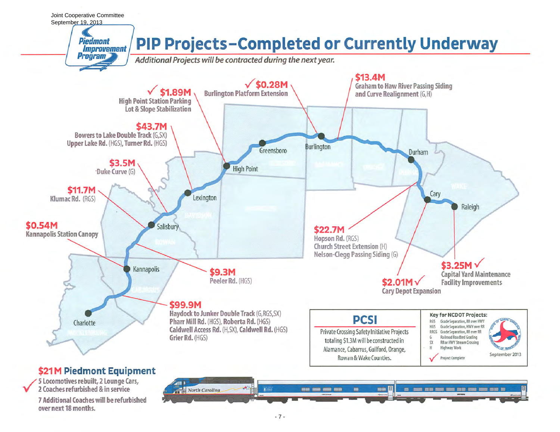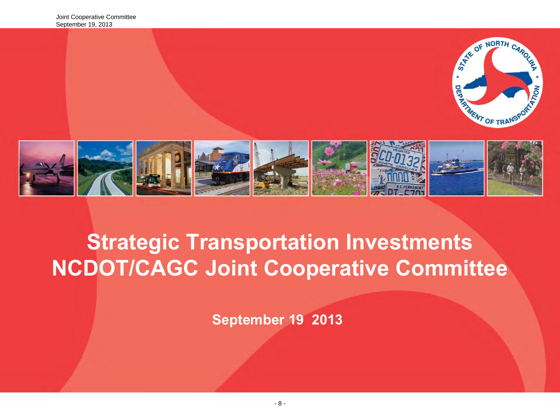

# **Strategic Transportation Investments NCDOT/CAGC Joint Cooperative Committee**

**September 19 2013**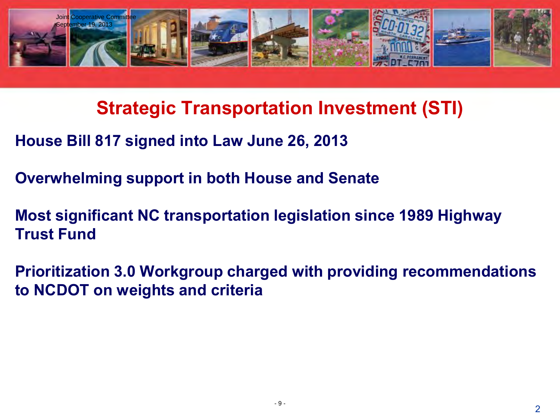

**Strategic Transportation Investment (STI)** 

**House Bill 817 signed into Law June 26, 2013** 

**Overwhelming support in both House and Senate** 

**Most significant NC transportation legislation since 1989 Highway Trust Fund** 

**Prioritization 3.0 Workgroup charged with providing recommendations to NCDOT on weights and criteria**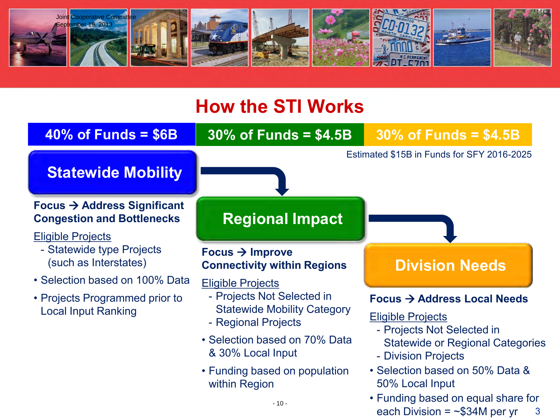

# **How the STI Works**

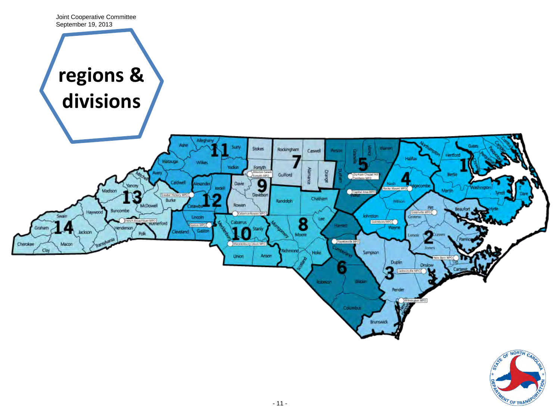

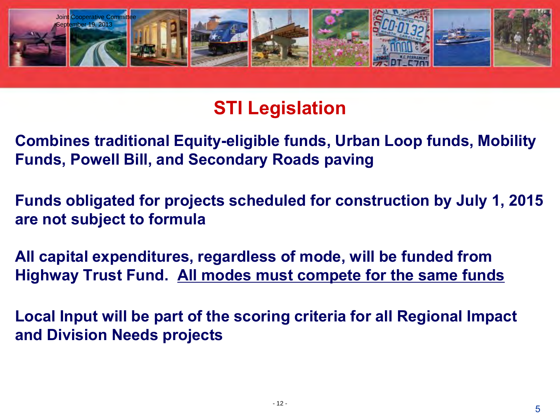

## **STI Legislation**

**Combines traditional Equity-eligible funds, Urban Loop funds, Mobility Funds, Powell Bill, and Secondary Roads paving** 

**Funds obligated for projects scheduled for construction by July 1, 2015 are not subject to formula** 

**All capital expenditures, regardless of mode, will be funded from Highway Trust Fund. All modes must compete for the same funds** 

**Local Input will be part of the scoring criteria for all Regional Impact and Division Needs projects**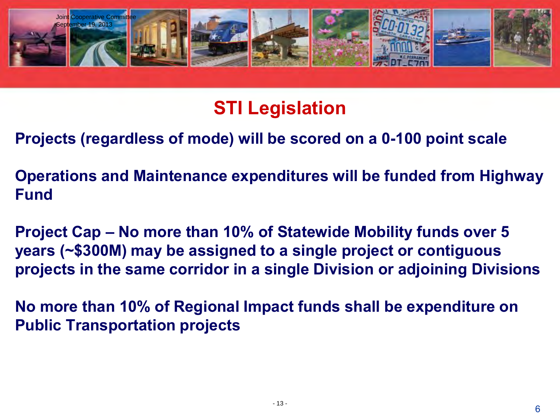

# **STI Legislation**

**Projects (regardless of mode) will be scored on a 0-100 point scale** 

**Operations and Maintenance expenditures will be funded from Highway Fund**

**Project Cap – No more than 10% of Statewide Mobility funds over 5 years (~\$300M) may be assigned to a single project or contiguous projects in the same corridor in a single Division or adjoining Divisions** 

**No more than 10% of Regional Impact funds shall be expenditure on Public Transportation projects**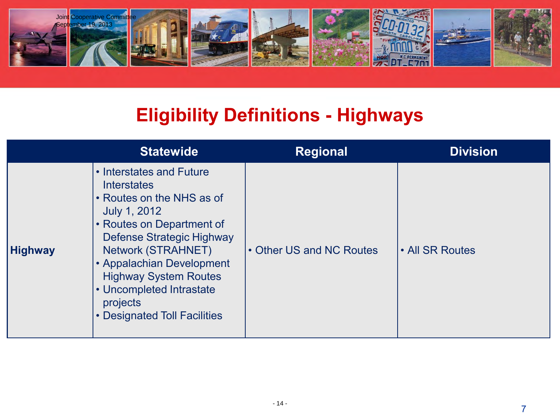

## **Eligibility Definitions - Highways**

|                | <b>Statewide</b>                                                                                                                                                                                                                                                                                                                    | <b>Regional</b>          | <b>Division</b> |
|----------------|-------------------------------------------------------------------------------------------------------------------------------------------------------------------------------------------------------------------------------------------------------------------------------------------------------------------------------------|--------------------------|-----------------|
| <b>Highway</b> | • Interstates and Future<br><b>Interstates</b><br>• Routes on the NHS as of<br><b>July 1, 2012</b><br>• Routes on Department of<br>Defense Strategic Highway<br><b>Network (STRAHNET)</b><br>• Appalachian Development<br><b>Highway System Routes</b><br>• Uncompleted Intrastate<br>projects<br><b>Designated Toll Facilities</b> | • Other US and NC Routes | • All SR Routes |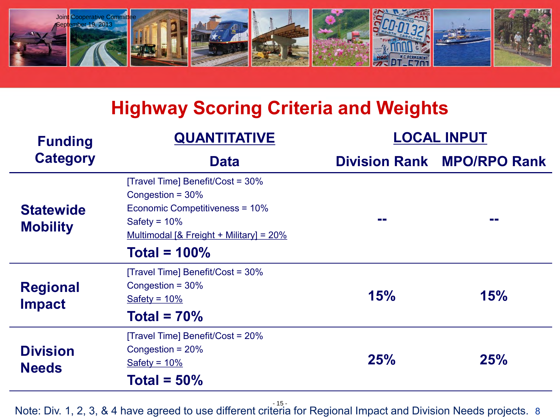

# **Highway Scoring Criteria and Weights**

| <b>QUANTITATIVE</b><br><b>Funding</b> |                                                                                                                                                            |     | <b>LOCAL INPUT</b>                |
|---------------------------------------|------------------------------------------------------------------------------------------------------------------------------------------------------------|-----|-----------------------------------|
| <b>Category</b>                       | <b>Data</b>                                                                                                                                                |     | <b>Division Rank MPO/RPO Rank</b> |
| <b>Statewide</b><br><b>Mobility</b>   | [Travel Time] Benefit/Cost = 30%<br>Congestion = $30\%$<br>Economic Competitiveness = 10%<br>Safety = $10\%$<br>Multimodal [& Freight + Military] = $20\%$ |     | --                                |
|                                       | Total = $100\%$                                                                                                                                            |     |                                   |
| <b>Regional</b><br><b>Impact</b>      | [Travel Time] Benefit/Cost = 30%<br>Congestion = $30\%$<br>Safety = $10\%$                                                                                 | 15% | 15%                               |
|                                       | Total = $70\%$                                                                                                                                             |     |                                   |
| <b>Division</b><br><b>Needs</b>       | [Travel Time] Benefit/Cost = 20%<br>Congestion = $20%$<br>Safety = $10\%$<br>Total = $50\%$                                                                | 25% | 25%                               |

Note: Div. 1, 2, 3, & 4 have agreed to use different criteria for Regional Impact and Division Needs projects. 8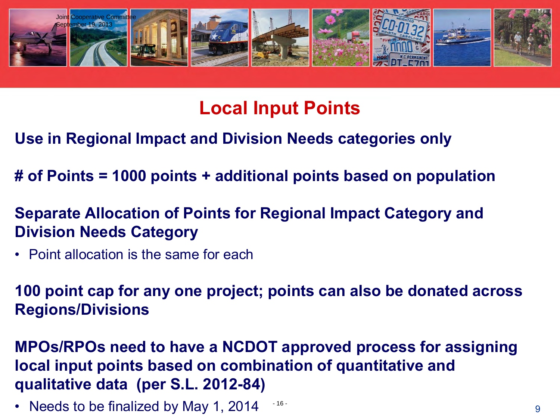

## **Local Input Points**

- **Use in Regional Impact and Division Needs categories only**
- **# of Points = 1000 points + additional points based on population**
- **Separate Allocation of Points for Regional Impact Category and Division Needs Category**
- Point allocation is the same for each

**100 point cap for any one project; points can also be donated across Regions/Divisions** 

**MPOs/RPOs need to have a NCDOT approved process for assigning local input points based on combination of quantitative and qualitative data (per S.L. 2012-84)**

• Needs to be finalized by May 1, 2014  $\frac{16}{2}$ - 16 -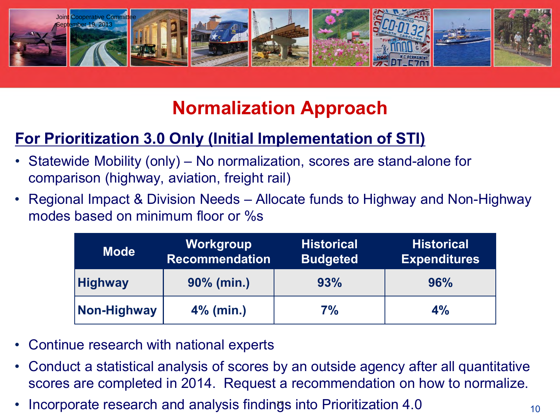

# **Normalization Approach**

## **For Prioritization 3.0 Only (Initial Implementation of STI)**

- Statewide Mobility (only) No normalization, scores are stand-alone for comparison (highway, aviation, freight rail)
- Regional Impact & Division Needs Allocate funds to Highway and Non-Highway modes based on minimum floor or %s

| Mode <sup>1</sup> | Workgroup<br><b>Recommendation</b> | <b>Historical</b><br><b>Budgeted</b> | <b>Historical</b><br><b>Expenditures</b> |
|-------------------|------------------------------------|--------------------------------------|------------------------------------------|
| <b>Highway</b>    | $90\%$ (min.)                      | 93%                                  | 96%                                      |
| Non-Highway       | $4\%$ (min.)                       | 7%                                   | 4%                                       |

- Continue research with national experts
- Conduct a statistical analysis of scores by an outside agency after all quantitative scores are completed in 2014. Request a recommendation on how to normalize.
- Incorporate research and analysis findings into Prioritization 4.0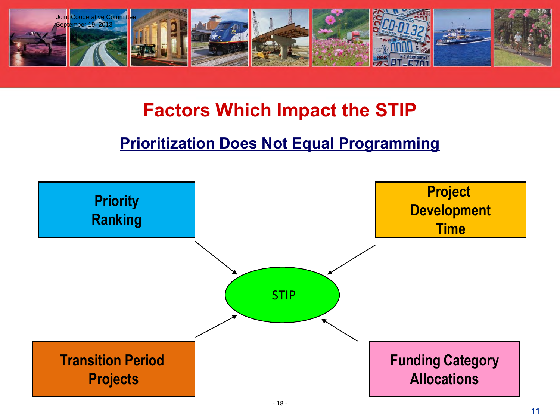

## **Factors Which Impact the STIP**

### **Prioritization Does Not Equal Programming**